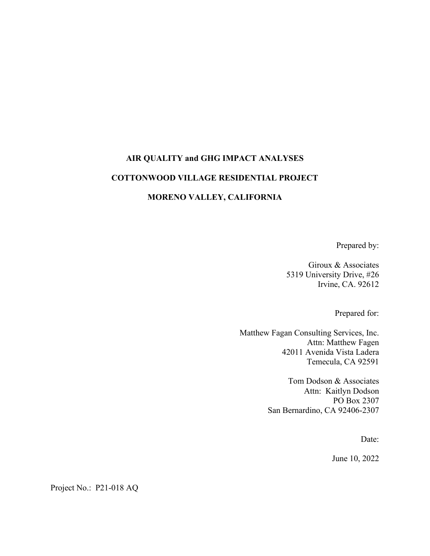# **AIR QUALITY and GHG IMPACT ANALYSES COTTONWOOD VILLAGE RESIDENTIAL PROJECT**

#### **MORENO VALLEY, CALIFORNIA**

Prepared by:

Giroux & Associates 5319 University Drive, #26 Irvine, CA. 92612

Prepared for:

Matthew Fagan Consulting Services, Inc. Attn: Matthew Fagen 42011 Avenida Vista Ladera Temecula, CA 92591

> Tom Dodson & Associates Attn: Kaitlyn Dodson PO Box 2307 San Bernardino, CA 92406-2307

> > Date:

June 10, 2022

Project No.: P21-018 AQ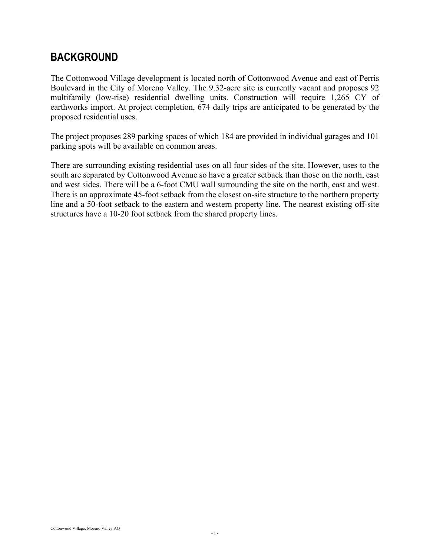# **BACKGROUND**

The Cottonwood Village development is located north of Cottonwood Avenue and east of Perris Boulevard in the City of Moreno Valley. The 9.32-acre site is currently vacant and proposes 92 multifamily (low-rise) residential dwelling units. Construction will require 1,265 CY of earthworks import. At project completion, 674 daily trips are anticipated to be generated by the proposed residential uses.

The project proposes 289 parking spaces of which 184 are provided in individual garages and 101 parking spots will be available on common areas.

There are surrounding existing residential uses on all four sides of the site. However, uses to the south are separated by Cottonwood Avenue so have a greater setback than those on the north, east and west sides. There will be a 6-foot CMU wall surrounding the site on the north, east and west. There is an approximate 45-foot setback from the closest on-site structure to the northern property line and a 50-foot setback to the eastern and western property line. The nearest existing off-site structures have a 10-20 foot setback from the shared property lines.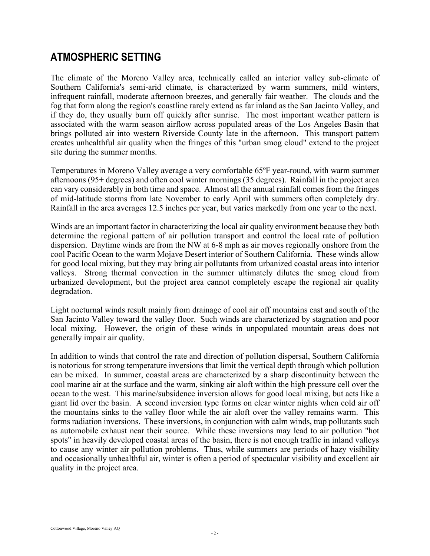# **ATMOSPHERIC SETTING**

The climate of the Moreno Valley area, technically called an interior valley sub-climate of Southern California's semi-arid climate, is characterized by warm summers, mild winters, infrequent rainfall, moderate afternoon breezes, and generally fair weather. The clouds and the fog that form along the region's coastline rarely extend as far inland as the San Jacinto Valley, and if they do, they usually burn off quickly after sunrise. The most important weather pattern is associated with the warm season airflow across populated areas of the Los Angeles Basin that brings polluted air into western Riverside County late in the afternoon. This transport pattern creates unhealthful air quality when the fringes of this "urban smog cloud" extend to the project site during the summer months.

Temperatures in Moreno Valley average a very comfortable 65ºF year-round, with warm summer afternoons (95+ degrees) and often cool winter mornings (35 degrees). Rainfall in the project area can vary considerably in both time and space. Almost all the annual rainfall comes from the fringes of mid-latitude storms from late November to early April with summers often completely dry. Rainfall in the area averages 12.5 inches per year, but varies markedly from one year to the next.

Winds are an important factor in characterizing the local air quality environment because they both determine the regional pattern of air pollution transport and control the local rate of pollution dispersion. Daytime winds are from the NW at 6-8 mph as air moves regionally onshore from the cool Pacific Ocean to the warm Mojave Desert interior of Southern California. These winds allow for good local mixing, but they may bring air pollutants from urbanized coastal areas into interior valleys. Strong thermal convection in the summer ultimately dilutes the smog cloud from urbanized development, but the project area cannot completely escape the regional air quality degradation.

Light nocturnal winds result mainly from drainage of cool air off mountains east and south of the San Jacinto Valley toward the valley floor. Such winds are characterized by stagnation and poor local mixing. However, the origin of these winds in unpopulated mountain areas does not generally impair air quality.

In addition to winds that control the rate and direction of pollution dispersal, Southern California is notorious for strong temperature inversions that limit the vertical depth through which pollution can be mixed. In summer, coastal areas are characterized by a sharp discontinuity between the cool marine air at the surface and the warm, sinking air aloft within the high pressure cell over the ocean to the west. This marine/subsidence inversion allows for good local mixing, but acts like a giant lid over the basin. A second inversion type forms on clear winter nights when cold air off the mountains sinks to the valley floor while the air aloft over the valley remains warm. This forms radiation inversions. These inversions, in conjunction with calm winds, trap pollutants such as automobile exhaust near their source. While these inversions may lead to air pollution "hot spots" in heavily developed coastal areas of the basin, there is not enough traffic in inland valleys to cause any winter air pollution problems. Thus, while summers are periods of hazy visibility and occasionally unhealthful air, winter is often a period of spectacular visibility and excellent air quality in the project area.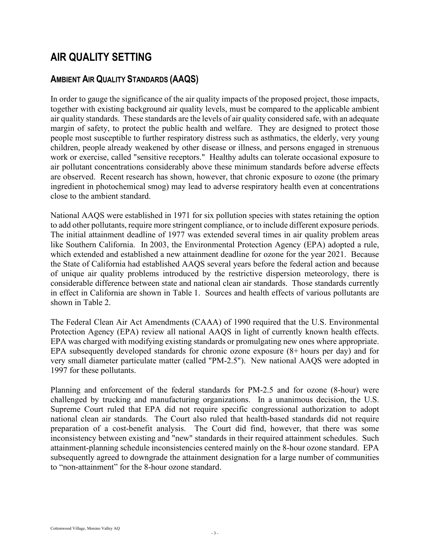# **AIR QUALITY SETTING**

### **AMBIENT AIR QUALITY STANDARDS (AAQS)**

In order to gauge the significance of the air quality impacts of the proposed project, those impacts, together with existing background air quality levels, must be compared to the applicable ambient air quality standards. These standards are the levels of air quality considered safe, with an adequate margin of safety, to protect the public health and welfare. They are designed to protect those people most susceptible to further respiratory distress such as asthmatics, the elderly, very young children, people already weakened by other disease or illness, and persons engaged in strenuous work or exercise, called "sensitive receptors." Healthy adults can tolerate occasional exposure to air pollutant concentrations considerably above these minimum standards before adverse effects are observed. Recent research has shown, however, that chronic exposure to ozone (the primary ingredient in photochemical smog) may lead to adverse respiratory health even at concentrations close to the ambient standard.

National AAQS were established in 1971 for six pollution species with states retaining the option to add other pollutants, require more stringent compliance, or to include different exposure periods. The initial attainment deadline of 1977 was extended several times in air quality problem areas like Southern California. In 2003, the Environmental Protection Agency (EPA) adopted a rule, which extended and established a new attainment deadline for ozone for the year 2021. Because the State of California had established AAQS several years before the federal action and because of unique air quality problems introduced by the restrictive dispersion meteorology, there is considerable difference between state and national clean air standards. Those standards currently in effect in California are shown in Table 1. Sources and health effects of various pollutants are shown in Table 2.

The Federal Clean Air Act Amendments (CAAA) of 1990 required that the U.S. Environmental Protection Agency (EPA) review all national AAQS in light of currently known health effects. EPA was charged with modifying existing standards or promulgating new ones where appropriate. EPA subsequently developed standards for chronic ozone exposure (8+ hours per day) and for very small diameter particulate matter (called "PM-2.5"). New national AAQS were adopted in 1997 for these pollutants.

Planning and enforcement of the federal standards for PM-2.5 and for ozone (8-hour) were challenged by trucking and manufacturing organizations. In a unanimous decision, the U.S. Supreme Court ruled that EPA did not require specific congressional authorization to adopt national clean air standards. The Court also ruled that health-based standards did not require preparation of a cost-benefit analysis. The Court did find, however, that there was some inconsistency between existing and "new" standards in their required attainment schedules. Such attainment-planning schedule inconsistencies centered mainly on the 8-hour ozone standard. EPA subsequently agreed to downgrade the attainment designation for a large number of communities to "non-attainment" for the 8-hour ozone standard.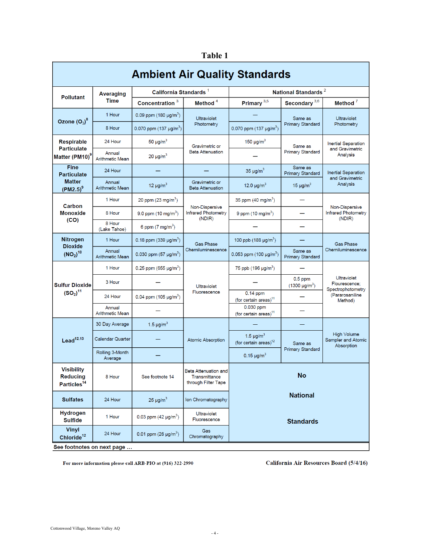#### **Table 1**

| <b>Ambient Air Quality Standards</b>                            |                                  |                                         |                                                                     |                                                                 |                                      |                                                          |  |
|-----------------------------------------------------------------|----------------------------------|-----------------------------------------|---------------------------------------------------------------------|-----------------------------------------------------------------|--------------------------------------|----------------------------------------------------------|--|
| <b>Pollutant</b>                                                | Averaging                        | California Standards <sup>1</sup>       |                                                                     | National Standards <sup>2</sup>                                 |                                      |                                                          |  |
|                                                                 | <b>Time</b>                      | Concentration <sup>3</sup>              | Method <sup>4</sup>                                                 | Primary <sup>3,5</sup>                                          | Secondary <sup>3,6</sup>             | Method <sup>7</sup>                                      |  |
| Ozone $(O_3)^8$                                                 | 1 Hour                           | 0.09 ppm $(180 \text{ µg/m}^3)$         | Ultraviolet                                                         |                                                                 | Same as                              | <b>Ultraviolet</b>                                       |  |
|                                                                 | 8 Hour                           | 0.070 ppm (137 $\mu$ g/m <sup>3</sup> ) | Photometry                                                          | 0.070 ppm (137 $\mu$ g/m <sup>3</sup> )                         | <b>Primary Standard</b>              | Photometry                                               |  |
| <b>Respirable</b><br><b>Particulate</b>                         | 24 Hour                          | 50 $\mu$ g/m <sup>3</sup>               | Gravimetric or                                                      | 150 $\mu q/m^3$                                                 | Same as                              | <b>Inertial Separation</b><br>and Gravimetric            |  |
| Matter (PM10) <sup>9</sup>                                      | Annual<br><b>Arithmetic Mean</b> | $20 \mu g/m^3$                          | <b>Beta Attenuation</b>                                             |                                                                 | <b>Primary Standard</b>              | Analysis                                                 |  |
| <b>Fine</b><br><b>Particulate</b>                               | 24 Hour                          |                                         |                                                                     | $35 \mu g/m^3$                                                  | Same as<br><b>Primary Standard</b>   | <b>Inertial Separation</b><br>and Gravimetric            |  |
| <b>Matter</b><br>$(PM2.5)^9$                                    | Annual<br><b>Arithmetic Mean</b> | 12 $\mu$ g/m <sup>3</sup>               | Gravimetric or<br><b>Beta Attenuation</b>                           | 12.0 $\mu$ g/m <sup>3</sup>                                     | 15 $\mu$ g/m <sup>3</sup>            | Analysis                                                 |  |
| Carbon                                                          | 1 Hour                           | 20 ppm $(23 \text{ mg/m}^3)$            | Non-Dispersive                                                      | 35 ppm $(40 \text{ mg/m}^3)$                                    |                                      | Non-Dispersive                                           |  |
| <b>Monoxide</b><br>(CO)                                         | 8 Hour                           | 9.0 ppm $(10 \text{ ma/m}^3)$           | <b>Infrared Photometry</b><br>(NDIR)                                | 9 ppm $(10 \text{ mg/m}^3)$                                     |                                      | <b>Infrared Photometry</b><br>(NDIR)                     |  |
|                                                                 | 8 Hour<br>(Lake Tahoe)           | 6 ppm $(7 \text{ mg/m}^3)$              |                                                                     |                                                                 |                                      |                                                          |  |
| <b>Nitrogen</b><br><b>Dioxide</b>                               | 1 Hour                           | 0.18 ppm $(339 \text{ µg/m}^3)$         | <b>Gas Phase</b>                                                    | 100 ppb $(188 \text{ µg/m}^3)$                                  |                                      | <b>Gas Phase</b><br>Chemiluminescence                    |  |
| (NO <sub>2</sub> ) <sup>10</sup>                                | Annual<br><b>Arithmetic Mean</b> | 0.030 ppm $(57 \text{ µg/m}^3)$         | Chemiluminescence                                                   | 0.053 ppm (100 µg/m <sup>3</sup> )                              | Same as<br><b>Primary Standard</b>   |                                                          |  |
|                                                                 | 1 Hour                           | 0.25 ppm (655 $\mu$ g/m <sup>3</sup> )  |                                                                     | 75 ppb $(196 \text{ µg/m}^3)$                                   |                                      |                                                          |  |
| <b>Sulfur Dioxide</b>                                           | 3 Hour                           |                                         | <b>Ultraviolet</b>                                                  |                                                                 | $0.5$ ppm<br>$(1300 \text{ µg/m}^3)$ | <b>Ultraviolet</b><br>Flourescence;<br>Spectrophotometry |  |
| $(SO_2)^{11}$                                                   | 24 Hour                          | 0.04 ppm $(105 \text{ µg/m}^3)$         | Fluorescence                                                        | $0.14$ ppm<br>(for certain areas) <sup>11</sup>                 |                                      | (Pararosaniline<br>Method)                               |  |
|                                                                 | Annual<br><b>Arithmetic Mean</b> |                                         |                                                                     | 0.030 ppm<br>(for certain areas) <sup>11</sup>                  |                                      |                                                          |  |
|                                                                 | 30 Day Average                   | 1.5 $\mu$ g/m <sup>3</sup>              |                                                                     |                                                                 |                                      |                                                          |  |
| $\text{Lead}^{12,13}$                                           | <b>Calendar Quarter</b>          |                                         | Atomic Absorption                                                   | 1.5 $\mu$ g/m <sup>3</sup><br>(for certain areas) <sup>12</sup> | Same as                              | <b>High Volume</b><br>Sampler and Atomic<br>Absorption   |  |
|                                                                 | Rolling 3-Month<br>Average       |                                         |                                                                     | $0.15 \,\mu g/m^3$                                              | <b>Primary Standard</b>              |                                                          |  |
| <b>Visibility</b><br><b>Reducing</b><br>Particles <sup>14</sup> | 8 Hour                           | See footnote 14                         | <b>Beta Attenuation and</b><br>Transmittance<br>through Filter Tape | No                                                              |                                      |                                                          |  |
| <b>Sulfates</b>                                                 | 24 Hour                          | $25 \mu g/m^3$                          | Ion Chromatography                                                  | <b>National</b>                                                 |                                      |                                                          |  |
| <b>Hydrogen</b><br><b>Sulfide</b>                               | 1 Hour                           | 0.03 ppm $(42 \text{ µg/m}^3)$          | <b>Ultraviolet</b><br>Fluorescence                                  | <b>Standards</b>                                                |                                      |                                                          |  |
| <b>Vinyl</b><br>Chloride <sup>12</sup>                          | 24 Hour                          | 0.01 ppm $(26 \text{ µg/m}^3)$          | Gas<br>Chromatography                                               |                                                                 |                                      |                                                          |  |
| See footnotes on next page                                      |                                  |                                         |                                                                     |                                                                 |                                      |                                                          |  |

See footnotes on next page ...

For more information please call ARB-PIO at (916) 322-2990

California Air Resources Board (5/4/16)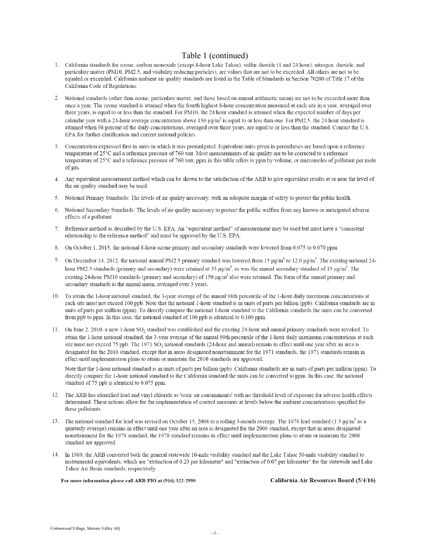#### Table 1 (continued)

- 1. California standards for ozone, carbon monoxide (except 8-hour Lake Tahoe), sulfur dioxide (1 and 24 hour), nitrogen dioxide, and particulate matter (PM10, PM2.5, and visibility reducing particles), are values that are not to be exceeded. All others are not to be equaled or exceeded. California ambient air quality standards are listed in the Table of Standards in Section 70200 of Title 17 of the California Code of Regulations.
- 2. National standards (other than ozone, particulate matter, and those based on annual arithmetic mean) are not to be exceeded more than once a year. The ozone standard is attained when the fourth highest 8-hour concentration measured at each site in a year, averaged over three years, is equal to or less than the standard. For PM10, the 24 hour standard is attained when the expected number of days per calendar year with a 24-hour average concentration above 150  $\mu$ g/m<sup>3</sup> is equal to or less than one. For PM2.5, the 24 hour standard is attained when 98 percent of the daily concentrations, averaged over three years, are equal to or less than the standard. Contact the U.S. EPA for further clarification and current national policies.
- 3. Concentration expressed first in units in which it was promulgated. Equivalent units given in parentheses are based upon a reference temperature of 25°C and a reference pressure of 760 torr. Most measurements of air quality are to be corrected to a reference temperature of 25°C and a reference pressure of 760 torr; ppm in this table refers to ppm by volume, or micromoles of pollutant per mole of gas.
- 4. Any equivalent measurement method which can be shown to the satisfaction of the ARB to give equivalent results at or near the level of the air quality standard may be used.
- 5. National Primary Standards: The levels of air quality necessary, with an adequate margin of safety to protect the public health.
- 6. National Secondary Standards: The levels of air quality necessary to protect the public welfare from any known or anticipated adverse effects of a pollutant.
- 7. Reference method as described by the U.S. EPA. An "equivalent method" of measurement may be used but must have a "consistent" relationship to the reference method" and must be approved by the U.S. EPA.
- 8. On October 1, 2015, the national 8-hour ozone primary and secondary standards were lowered from 0.075 to 0.070 ppm.
- 9. On December 14, 2012, the national annual PM2.5 primary standard was lowered from 15  $\mu$ g/m<sup>3</sup> to 12.0  $\mu$ g/m<sup>3</sup>. The existing national 24hour PM2.5 standards (primary and secondary) were retained at 35  $\mu g/m^3$ , as was the annual secondary standard of 15  $\mu g/m^3$ . The existing 24-hour PM10 standards (primary and secondary) of 150 µg/m<sup>3</sup> also were retained. The form of the annual primary and secondary standards is the annual mean, averaged over 3 years.
- 10. To attain the 1-hour national standard, the 3-year average of the annual 98th percentile of the 1-hour daily maximum concentrations at each site must not exceed 100 ppb. Note that the national 1-hour standard is in units of parts per billion (ppb). California standards are in units of parts per million (ppm). To directly compare the national 1-hour standard to the California standards the units can be converted from ppb to ppm. In this case, the national standard of 100 ppb is identical to 0.100 ppm.
- 11. On June 2, 2010, a new 1-hour SO<sub>2</sub> standard was established and the existing 24-hour and annual primary standards were revoked. To attain the 1-hour national standard, the 3-year average of the annual 99th percentile of the 1-hour daily maximum concentrations at each site must not exceed 75 ppb. The 1971 SO<sub>2</sub> national standards (24-hour and annual) remain in effect until one year after an area is designated for the 2010 standard, except that in areas designated nonattainment for the 1971 standards, the 1971 standards remain in effect until implementation plans to attain or maintain the 2010 standards are approved.

Note that the 1-hour national standard is in units of parts per billion (ppb). California standards are in units of parts per million (ppm). To directly compare the 1-hour national standard to the California standard the units can be converted to ppm. In this case, the national standard of 75 ppb is identical to 0.075 ppm.

- 12. The ARB has identified lead and vinyl chloride as 'toxic air contaminants' with no threshold level of exposure for adverse health effects determined. These actions allow for the implementation of control measures at levels below the ambient concentrations specified for these pollutants.
- 13. The national standard for lead was revised on October 15, 2008 to a rolling 3-month average. The 1978 lead standard (1.5 µg/m<sup>3</sup> as a quarterly average) remains in effect until one year after an area is designated for the 2008 standard, except that in areas designated nonattainment for the 1978 standard, the 1978 standard remains in effect until implementation plans to attain or maintain the 2008 standard are approved.
- 14. In 1989, the ARB converted both the general statewide 10-mile visibility standard and the Lake Tahoe 30-mile visibility standard to instrumental equivalents, which are "extinction of 0.23 per kilometer" and "extinction of 0.07 per kilometer" for the statewide and Lake Tahoe Air Basin standards, respectively.

#### For more information please call ARB-PIO at (916) 322-2990

California Air Resources Board (5/4/16)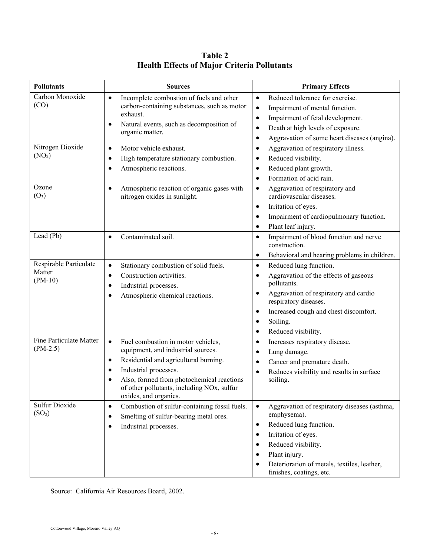| <b>Pollutants</b>                             | <b>Sources</b>                                                                                                                                                                                                                                                                                | <b>Primary Effects</b>                                                                                                                                                                                                                                                                             |
|-----------------------------------------------|-----------------------------------------------------------------------------------------------------------------------------------------------------------------------------------------------------------------------------------------------------------------------------------------------|----------------------------------------------------------------------------------------------------------------------------------------------------------------------------------------------------------------------------------------------------------------------------------------------------|
| Carbon Monoxide<br>(CO)                       | Incomplete combustion of fuels and other<br>$\bullet$<br>carbon-containing substances, such as motor<br>exhaust.<br>Natural events, such as decomposition of<br>$\bullet$<br>organic matter.                                                                                                  | Reduced tolerance for exercise.<br>$\bullet$<br>Impairment of mental function.<br>$\bullet$<br>Impairment of fetal development.<br>$\bullet$<br>Death at high levels of exposure.<br>$\bullet$<br>Aggravation of some heart diseases (angina).<br>$\bullet$                                        |
| Nitrogen Dioxide<br>(NO <sub>2</sub> )        | Motor vehicle exhaust.<br>$\bullet$<br>High temperature stationary combustion.<br>$\bullet$<br>Atmospheric reactions.<br>٠                                                                                                                                                                    | Aggravation of respiratory illness.<br>$\bullet$<br>Reduced visibility.<br>$\bullet$<br>Reduced plant growth.<br>$\bullet$<br>Formation of acid rain.<br>$\bullet$                                                                                                                                 |
| Ozone<br>(O <sub>3</sub> )                    | Atmospheric reaction of organic gases with<br>$\bullet$<br>nitrogen oxides in sunlight.                                                                                                                                                                                                       | Aggravation of respiratory and<br>$\bullet$<br>cardiovascular diseases.<br>Irritation of eyes.<br>$\bullet$<br>Impairment of cardiopulmonary function.<br>$\bullet$<br>Plant leaf injury.<br>$\bullet$                                                                                             |
| Lead (Pb)                                     | Contaminated soil.<br>$\bullet$                                                                                                                                                                                                                                                               | Impairment of blood function and nerve<br>$\bullet$<br>construction.<br>Behavioral and hearing problems in children.<br>$\bullet$                                                                                                                                                                  |
| Respirable Particulate<br>Matter<br>$(PM-10)$ | Stationary combustion of solid fuels.<br>$\bullet$<br>Construction activities.<br>$\bullet$<br>Industrial processes.<br>٠<br>Atmospheric chemical reactions.<br>٠                                                                                                                             | Reduced lung function.<br>$\bullet$<br>Aggravation of the effects of gaseous<br>$\bullet$<br>pollutants.<br>Aggravation of respiratory and cardio<br>$\bullet$<br>respiratory diseases.<br>Increased cough and chest discomfort.<br>٠<br>Soiling.<br>$\bullet$<br>Reduced visibility.<br>$\bullet$ |
| Fine Particulate Matter<br>$(PM-2.5)$         | Fuel combustion in motor vehicles,<br>$\bullet$<br>equipment, and industrial sources.<br>Residential and agricultural burning.<br>$\bullet$<br>Industrial processes.<br>٠<br>Also, formed from photochemical reactions<br>of other pollutants, including NOx, sulfur<br>oxides, and organics. | Increases respiratory disease.<br>$\bullet$<br>Lung damage.<br>$\bullet$<br>Cancer and premature death.<br>$\bullet$<br>Reduces visibility and results in surface<br>$\bullet$<br>soiling.                                                                                                         |
| Sulfur Dioxide<br>(SO <sub>2</sub> )          | Combustion of sulfur-containing fossil fuels.<br>$\bullet$<br>Smelting of sulfur-bearing metal ores.<br>$\bullet$<br>Industrial processes.<br>٠                                                                                                                                               | Aggravation of respiratory diseases (asthma,<br>$\bullet$<br>emphysema).<br>Reduced lung function.<br>$\bullet$<br>Irritation of eyes.<br>$\bullet$<br>Reduced visibility.<br>$\bullet$<br>Plant injury.<br>Deterioration of metals, textiles, leather,<br>finishes, coatings, etc.                |

**Table 2 Health Effects of Major Criteria Pollutants**

Source: California Air Resources Board, 2002.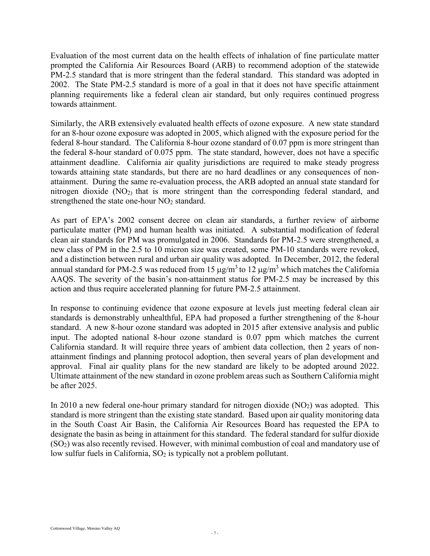Evaluation of the most current data on the health effects of inhalation of fine particulate matter prompted the California Air Resources Board (ARB) to recommend adoption of the statewide PM-2.5 standard that is more stringent than the federal standard. This standard was adopted in 2002. The State PM-2.5 standard is more of a goal in that it does not have specific attainment planning requirements like a federal clean air standard, but only requires continued progress towards attainment.

Similarly, the ARB extensively evaluated health effects of ozone exposure. A new state standard for an 8-hour ozone exposure was adopted in 2005, which aligned with the exposure period for the federal 8-hour standard. The California 8-hour ozone standard of 0.07 ppm is more stringent than the federal 8-hour standard of 0.075 ppm. The state standard, however, does not have a specific attainment deadline. California air quality jurisdictions are required to make steady progress towards attaining state standards, but there are no hard deadlines or any consequences of nonattainment. During the same re-evaluation process, the ARB adopted an annual state standard for nitrogen dioxide  $(NO<sub>2</sub>)$  that is more stringent than the corresponding federal standard, and strengthened the state one-hour NO<sub>2</sub> standard.

As part of EPA's 2002 consent decree on clean air standards, a further review of airborne particulate matter (PM) and human health was initiated. A substantial modification of federal clean air standards for PM was promulgated in 2006. Standards for PM-2.5 were strengthened, a new class of PM in the 2.5 to 10 micron size was created, some PM-10 standards were revoked, and a distinction between rural and urban air quality was adopted. In December, 2012, the federal annual standard for PM-2.5 was reduced from 15  $\mu$ g/m<sup>3</sup> to 12  $\mu$ g/m<sup>3</sup> which matches the California AAQS. The severity of the basin's non-attainment status for PM-2.5 may be increased by this action and thus require accelerated planning for future PM-2.5 attainment.

In response to continuing evidence that ozone exposure at levels just meeting federal clean air standards is demonstrably unhealthful, EPA had proposed a further strengthening of the 8-hour standard. A new 8-hour ozone standard was adopted in 2015 after extensive analysis and public input. The adopted national 8-hour ozone standard is 0.07 ppm which matches the current California standard. It will require three years of ambient data collection, then 2 years of nonattainment findings and planning protocol adoption, then several years of plan development and approval. Final air quality plans for the new standard are likely to be adopted around 2022. Ultimate attainment of the new standard in ozone problem areas such as Southern California might be after 2025.

In 2010 a new federal one-hour primary standard for nitrogen dioxide  $(NO<sub>2</sub>)$  was adopted. This standard is more stringent than the existing state standard. Based upon air quality monitoring data in the South Coast Air Basin, the California Air Resources Board has requested the EPA to designate the basin as being in attainment for this standard. The federal standard for sulfur dioxide  $(SO<sub>2</sub>)$  was also recently revised. However, with minimal combustion of coal and mandatory use of low sulfur fuels in California,  $SO<sub>2</sub>$  is typically not a problem pollutant.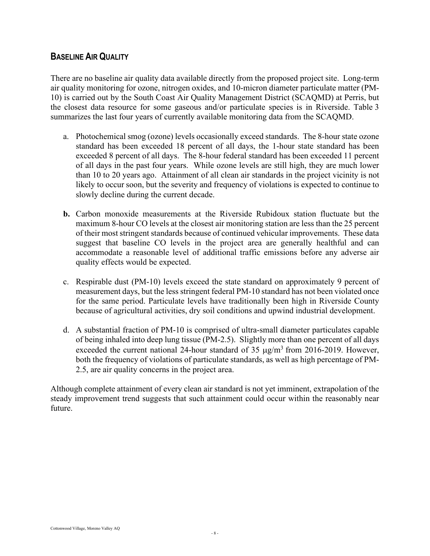#### **BASELINE AIR QUALITY**

There are no baseline air quality data available directly from the proposed project site. Long-term air quality monitoring for ozone, nitrogen oxides, and 10-micron diameter particulate matter (PM-10) is carried out by the South Coast Air Quality Management District (SCAQMD) at Perris, but the closest data resource for some gaseous and/or particulate species is in Riverside. Table 3 summarizes the last four years of currently available monitoring data from the SCAQMD.

- a. Photochemical smog (ozone) levels occasionally exceed standards. The 8-hour state ozone standard has been exceeded 18 percent of all days, the 1-hour state standard has been exceeded 8 percent of all days. The 8-hour federal standard has been exceeded 11 percent of all days in the past four years. While ozone levels are still high, they are much lower than 10 to 20 years ago. Attainment of all clean air standards in the project vicinity is not likely to occur soon, but the severity and frequency of violations is expected to continue to slowly decline during the current decade.
- **b.** Carbon monoxide measurements at the Riverside Rubidoux station fluctuate but the maximum 8-hour CO levels at the closest air monitoring station are less than the 25 percent of their most stringent standards because of continued vehicular improvements. These data suggest that baseline CO levels in the project area are generally healthful and can accommodate a reasonable level of additional traffic emissions before any adverse air quality effects would be expected.
- c. Respirable dust (PM-10) levels exceed the state standard on approximately 9 percent of measurement days, but the less stringent federal PM-10 standard has not been violated once for the same period. Particulate levels have traditionally been high in Riverside County because of agricultural activities, dry soil conditions and upwind industrial development.
- d. A substantial fraction of PM-10 is comprised of ultra-small diameter particulates capable of being inhaled into deep lung tissue (PM-2.5). Slightly more than one percent of all days exceeded the current national 24-hour standard of 35  $\mu$ g/m<sup>3</sup> from 2016-2019. However, both the frequency of violations of particulate standards, as well as high percentage of PM-2.5, are air quality concerns in the project area.

Although complete attainment of every clean air standard is not yet imminent, extrapolation of the steady improvement trend suggests that such attainment could occur within the reasonably near future.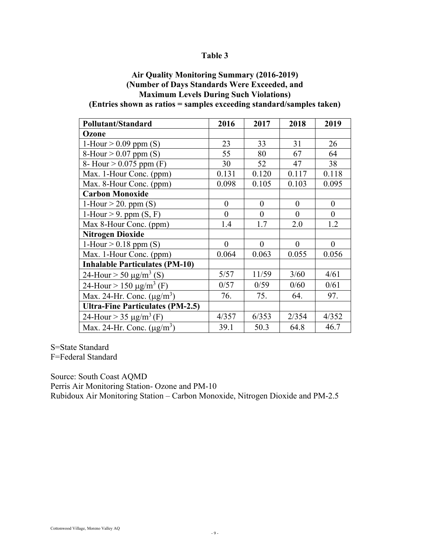#### **Table 3**

#### **Air Quality Monitoring Summary (2016-2019) (Number of Days Standards Were Exceeded, and Maximum Levels During Such Violations) (Entries shown as ratios = samples exceeding standard/samples taken)**

| Pollutant/Standard                       | 2016             | 2017             | 2018           | 2019           |
|------------------------------------------|------------------|------------------|----------------|----------------|
| Ozone                                    |                  |                  |                |                |
| 1-Hour $> 0.09$ ppm (S)                  | 23               | 33               | 31             | 26             |
| 8-Hour $> 0.07$ ppm (S)                  | 55               | 80               | 67             | 64             |
| 8- Hour $> 0.075$ ppm (F)                | 30               | 52               | 47             | 38             |
| Max. 1-Hour Conc. (ppm)                  | 0.131            | 0.120            | 0.117          | 0.118          |
| Max. 8-Hour Conc. (ppm)                  | 0.098            | 0.105            | 0.103          | 0.095          |
| <b>Carbon Monoxide</b>                   |                  |                  |                |                |
| 1-Hour $> 20$ . ppm (S)                  | $\boldsymbol{0}$ | $\boldsymbol{0}$ | $\overline{0}$ | $\theta$       |
| 1-Hour $>$ 9. ppm $(S, F)$               | $\overline{0}$   | $\overline{0}$   | $\overline{0}$ | $\overline{0}$ |
| Max 8-Hour Conc. (ppm)                   | 1.4              | 1.7              | 2.0            | 1.2            |
| <b>Nitrogen Dioxide</b>                  |                  |                  |                |                |
| 1-Hour $> 0.18$ ppm (S)                  | $\boldsymbol{0}$ | $\overline{0}$   | $\theta$       | $\theta$       |
| Max. 1-Hour Conc. (ppm)                  | 0.064            | 0.063            | 0.055          | 0.056          |
| <b>Inhalable Particulates (PM-10)</b>    |                  |                  |                |                |
| 24-Hour $> 50 \mu g/m^3$ (S)             | 5/57             | 11/59            | 3/60           | 4/61           |
| 24-Hour > 150 $\mu$ g/m <sup>3</sup> (F) | 0/57             | 0/59             | 0/60           | 0/61           |
| Max. 24-Hr. Conc. $(\mu g/m^3)$          | 76.              | 75.              | 64.            | 97.            |
| <b>Ultra-Fine Particulates (PM-2.5)</b>  |                  |                  |                |                |
| 24-Hour > 35 $\mu$ g/m <sup>3</sup> (F)  | 4/357            | 6/353            | 2/354          | 4/352          |
| Max. 24-Hr. Conc. $(\mu g/m^3)$          | 39.1             | 50.3             | 64.8           | 46.7           |

S=State Standard F=Federal Standard

Source: South Coast AQMD Perris Air Monitoring Station- Ozone and PM-10 Rubidoux Air Monitoring Station – Carbon Monoxide, Nitrogen Dioxide and PM-2.5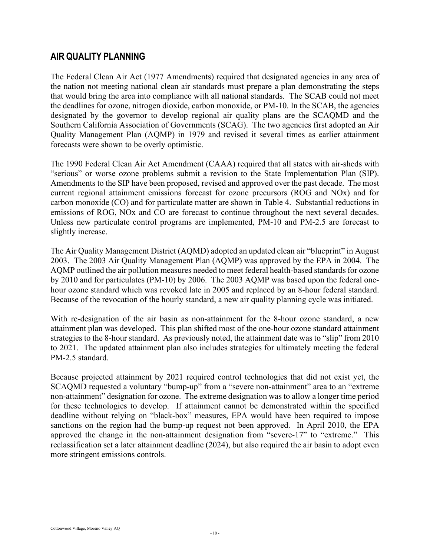### **AIR QUALITY PLANNING**

The Federal Clean Air Act (1977 Amendments) required that designated agencies in any area of the nation not meeting national clean air standards must prepare a plan demonstrating the steps that would bring the area into compliance with all national standards. The SCAB could not meet the deadlines for ozone, nitrogen dioxide, carbon monoxide, or PM-10. In the SCAB, the agencies designated by the governor to develop regional air quality plans are the SCAQMD and the Southern California Association of Governments (SCAG). The two agencies first adopted an Air Quality Management Plan (AQMP) in 1979 and revised it several times as earlier attainment forecasts were shown to be overly optimistic.

The 1990 Federal Clean Air Act Amendment (CAAA) required that all states with air-sheds with "serious" or worse ozone problems submit a revision to the State Implementation Plan (SIP). Amendments to the SIP have been proposed, revised and approved over the past decade. The most current regional attainment emissions forecast for ozone precursors (ROG and NOx) and for carbon monoxide (CO) and for particulate matter are shown in Table 4. Substantial reductions in emissions of ROG, NOx and CO are forecast to continue throughout the next several decades. Unless new particulate control programs are implemented, PM-10 and PM-2.5 are forecast to slightly increase.

The Air Quality Management District (AQMD) adopted an updated clean air "blueprint" in August 2003. The 2003 Air Quality Management Plan (AQMP) was approved by the EPA in 2004. The AQMP outlined the air pollution measures needed to meet federal health-based standards for ozone by 2010 and for particulates (PM-10) by 2006. The 2003 AQMP was based upon the federal onehour ozone standard which was revoked late in 2005 and replaced by an 8-hour federal standard. Because of the revocation of the hourly standard, a new air quality planning cycle was initiated.

With re-designation of the air basin as non-attainment for the 8-hour ozone standard, a new attainment plan was developed. This plan shifted most of the one-hour ozone standard attainment strategies to the 8-hour standard. As previously noted, the attainment date was to "slip" from 2010 to 2021. The updated attainment plan also includes strategies for ultimately meeting the federal PM-2.5 standard.

Because projected attainment by 2021 required control technologies that did not exist yet, the SCAQMD requested a voluntary "bump-up" from a "severe non-attainment" area to an "extreme non-attainment" designation for ozone. The extreme designation was to allow a longer time period for these technologies to develop. If attainment cannot be demonstrated within the specified deadline without relying on "black-box" measures, EPA would have been required to impose sanctions on the region had the bump-up request not been approved. In April 2010, the EPA approved the change in the non-attainment designation from "severe-17" to "extreme." This reclassification set a later attainment deadline (2024), but also required the air basin to adopt even more stringent emissions controls.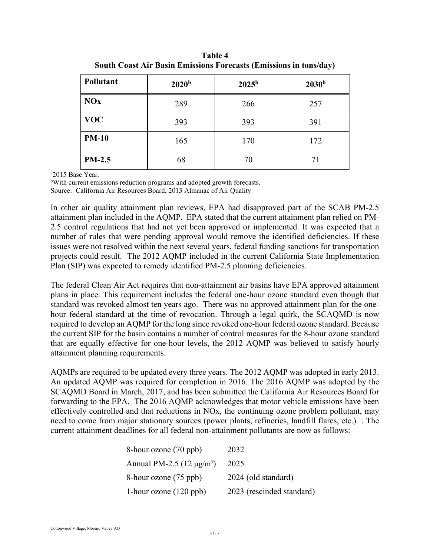| Pollutant    | 2020 <sup>b</sup> | $2025^{\rm b}$ | 2030 <sup>b</sup> |
|--------------|-------------------|----------------|-------------------|
| <b>NOx</b>   | 289               | 266            | 257               |
| <b>VOC</b>   | 393               | 393            | 391               |
| <b>PM-10</b> | 165               | 170            | 172               |
| $PM-2.5$     | 68                | 70             | 71                |

**Table 4 South Coast Air Basin Emissions Forecasts (Emissions in tons/day)**

a 2015 Base Year.

<sup>b</sup>With current emissions reduction programs and adopted growth forecasts. Source: California Air Resources Board, 2013 Almanac of Air Quality

In other air quality attainment plan reviews, EPA had disapproved part of the SCAB PM-2.5 attainment plan included in the AQMP. EPA stated that the current attainment plan relied on PM-2.5 control regulations that had not yet been approved or implemented. It was expected that a number of rules that were pending approval would remove the identified deficiencies. If these issues were not resolved within the next several years, federal funding sanctions for transportation projects could result. The 2012 AQMP included in the current California State Implementation Plan (SIP) was expected to remedy identified PM-2.5 planning deficiencies.

The federal Clean Air Act requires that non-attainment air basins have EPA approved attainment plans in place. This requirement includes the federal one-hour ozone standard even though that standard was revoked almost ten years ago. There was no approved attainment plan for the onehour federal standard at the time of revocation. Through a legal quirk, the SCAQMD is now required to develop an AQMP for the long since revoked one-hour federal ozone standard. Because the current SIP for the basin contains a number of control measures for the 8-hour ozone standard that are equally effective for one-hour levels, the 2012 AQMP was believed to satisfy hourly attainment planning requirements.

AQMPs are required to be updated every three years. The 2012 AQMP was adopted in early 2013. An updated AQMP was required for completion in 2016. The 2016 AQMP was adopted by the SCAQMD Board in March, 2017, and has been submitted the California Air Resources Board for forwarding to the EPA. The 2016 AQMP acknowledges that motor vehicle emissions have been effectively controlled and that reductions in NOx, the continuing ozone problem pollutant, may need to come from major stationary sources (power plants, refineries, landfill flares, etc.) . The current attainment deadlines for all federal non-attainment pollutants are now as follows:

| 8-hour ozone (70 ppb)                      | 2032                      |
|--------------------------------------------|---------------------------|
| Annual PM-2.5 (12 $\mu$ g/m <sup>3</sup> ) | 2025                      |
| 8-hour ozone (75 ppb)                      | 2024 (old standard)       |
| 1-hour ozone $(120$ ppb)                   | 2023 (rescinded standard) |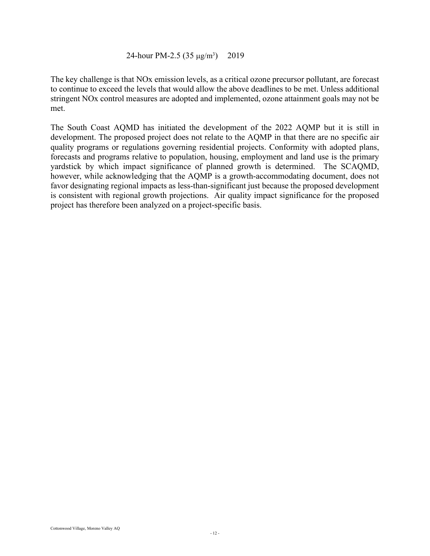#### 24-hour PM-2.5  $(35 \mu g/m^3)$ ) 2019

The key challenge is that NOx emission levels, as a critical ozone precursor pollutant, are forecast to continue to exceed the levels that would allow the above deadlines to be met. Unless additional stringent NOx control measures are adopted and implemented, ozone attainment goals may not be met.

The South Coast AQMD has initiated the development of the 2022 AQMP but it is still in development. The proposed project does not relate to the AQMP in that there are no specific air quality programs or regulations governing residential projects. Conformity with adopted plans, forecasts and programs relative to population, housing, employment and land use is the primary yardstick by which impact significance of planned growth is determined. The SCAQMD, however, while acknowledging that the AQMP is a growth-accommodating document, does not favor designating regional impacts as less-than-significant just because the proposed development is consistent with regional growth projections. Air quality impact significance for the proposed project has therefore been analyzed on a project-specific basis.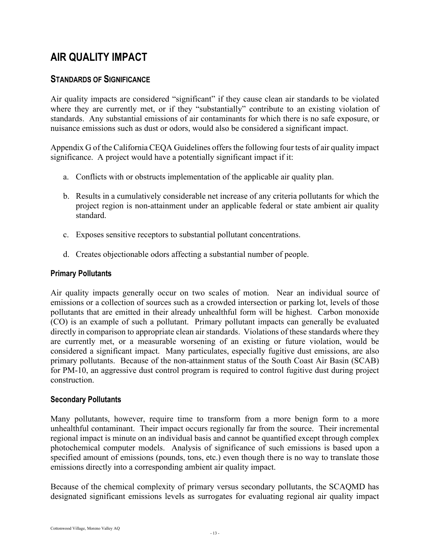# **AIR QUALITY IMPACT**

### **STANDARDS OF SIGNIFICANCE**

Air quality impacts are considered "significant" if they cause clean air standards to be violated where they are currently met, or if they "substantially" contribute to an existing violation of standards. Any substantial emissions of air contaminants for which there is no safe exposure, or nuisance emissions such as dust or odors, would also be considered a significant impact.

Appendix G of the California CEQA Guidelines offers the following four tests of air quality impact significance. A project would have a potentially significant impact if it:

- a. Conflicts with or obstructs implementation of the applicable air quality plan.
- b. Results in a cumulatively considerable net increase of any criteria pollutants for which the project region is non-attainment under an applicable federal or state ambient air quality standard.
- c. Exposes sensitive receptors to substantial pollutant concentrations.
- d. Creates objectionable odors affecting a substantial number of people.

#### **Primary Pollutants**

Air quality impacts generally occur on two scales of motion. Near an individual source of emissions or a collection of sources such as a crowded intersection or parking lot, levels of those pollutants that are emitted in their already unhealthful form will be highest. Carbon monoxide (CO) is an example of such a pollutant. Primary pollutant impacts can generally be evaluated directly in comparison to appropriate clean air standards. Violations of these standards where they are currently met, or a measurable worsening of an existing or future violation, would be considered a significant impact. Many particulates, especially fugitive dust emissions, are also primary pollutants. Because of the non-attainment status of the South Coast Air Basin (SCAB) for PM-10, an aggressive dust control program is required to control fugitive dust during project construction.

#### **Secondary Pollutants**

Many pollutants, however, require time to transform from a more benign form to a more unhealthful contaminant. Their impact occurs regionally far from the source. Their incremental regional impact is minute on an individual basis and cannot be quantified except through complex photochemical computer models. Analysis of significance of such emissions is based upon a specified amount of emissions (pounds, tons, etc.) even though there is no way to translate those emissions directly into a corresponding ambient air quality impact.

Because of the chemical complexity of primary versus secondary pollutants, the SCAQMD has designated significant emissions levels as surrogates for evaluating regional air quality impact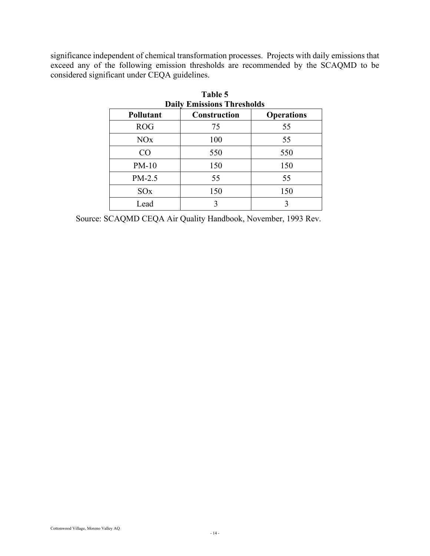significance independent of chemical transformation processes. Projects with daily emissions that exceed any of the following emission thresholds are recommended by the SCAQMD to be considered significant under CEQA guidelines.

| <b>Daily Emissions Thresholds</b> |                     |                   |  |  |  |  |
|-----------------------------------|---------------------|-------------------|--|--|--|--|
| <b>Pollutant</b>                  | <b>Construction</b> | <b>Operations</b> |  |  |  |  |
| <b>ROG</b>                        | 75                  | 55                |  |  |  |  |
| NOx                               | 100                 | 55                |  |  |  |  |
| CO                                | 550                 | 550               |  |  |  |  |
| $PM-10$                           | 150                 | 150               |  |  |  |  |
| PM-2.5                            | 55                  | 55                |  |  |  |  |
| SOX                               | 150                 | 150               |  |  |  |  |
| Lead                              |                     |                   |  |  |  |  |

| Table 5                           |  |
|-----------------------------------|--|
| <b>Daily Emissions Thresholds</b> |  |
|                                   |  |

Source: SCAQMD CEQA Air Quality Handbook, November, 1993 Rev.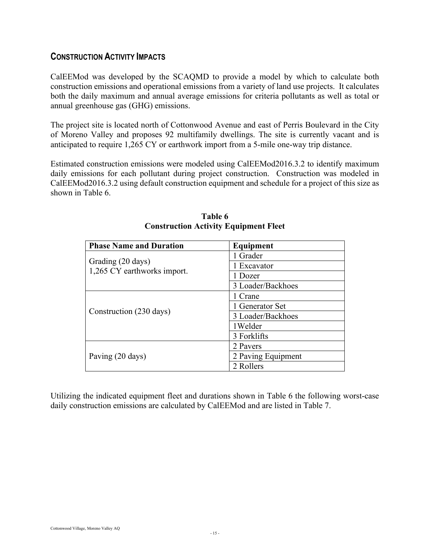#### **CONSTRUCTION ACTIVITY IMPACTS**

CalEEMod was developed by the SCAQMD to provide a model by which to calculate both construction emissions and operational emissions from a variety of land use projects. It calculates both the daily maximum and annual average emissions for criteria pollutants as well as total or annual greenhouse gas (GHG) emissions.

The project site is located north of Cottonwood Avenue and east of Perris Boulevard in the City of Moreno Valley and proposes 92 multifamily dwellings. The site is currently vacant and is anticipated to require 1,265 CY or earthwork import from a 5-mile one-way trip distance.

Estimated construction emissions were modeled using CalEEMod2016.3.2 to identify maximum daily emissions for each pollutant during project construction. Construction was modeled in CalEEMod2016.3.2 using default construction equipment and schedule for a project of this size as shown in Table 6.

| <b>Phase Name and Duration</b> | Equipment                                        |  |  |
|--------------------------------|--------------------------------------------------|--|--|
|                                | 1 Grader                                         |  |  |
| Grading (20 days)              | 1 Excavator                                      |  |  |
| 1,265 CY earthworks import.    | 1 Dozer                                          |  |  |
|                                | 3 Loader/Backhoes                                |  |  |
|                                | 1 Crane                                          |  |  |
|                                | 1 Generator Set<br>3 Loader/Backhoes<br>1 Welder |  |  |
| Construction (230 days)        |                                                  |  |  |
|                                |                                                  |  |  |
|                                | 3 Forklifts                                      |  |  |
|                                | 2 Pavers                                         |  |  |
| Paving (20 days)               | 2 Paving Equipment                               |  |  |
|                                | 2 Rollers                                        |  |  |

#### **Table 6 Construction Activity Equipment Fleet**

Utilizing the indicated equipment fleet and durations shown in Table 6 the following worst-case daily construction emissions are calculated by CalEEMod and are listed in Table 7.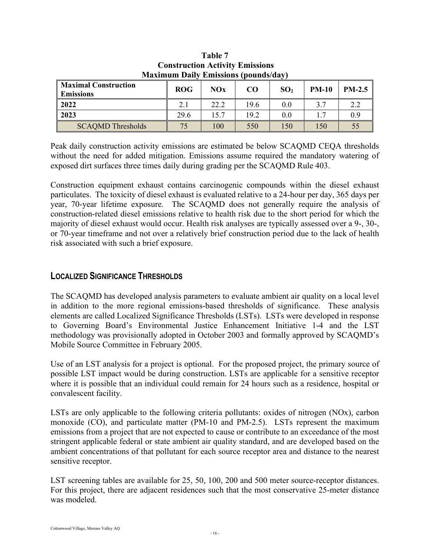| <b>Maximal Construction</b><br><b>Emissions</b> | <b>ROG</b> | NOx  | CO   | SO <sub>2</sub> | <b>PM-10</b> | $PM-2.5$ |
|-------------------------------------------------|------------|------|------|-----------------|--------------|----------|
| 2022                                            | <u>າ</u> 1 | 22.2 | 19.6 | 0.0             | 37           |          |
| 2023                                            | 29.6       | 15.7 | 19.2 | 0.0             |              | 0.9      |
| <b>SCAQMD Thresholds</b>                        | 75         | 100  | 550  | 150             | 150          |          |

**Table 7 Construction Activity Emissions Maximum Daily Emissions (pounds/day)**

Peak daily construction activity emissions are estimated be below SCAQMD CEQA thresholds without the need for added mitigation. Emissions assume required the mandatory watering of exposed dirt surfaces three times daily during grading per the SCAQMD Rule 403.

Construction equipment exhaust contains carcinogenic compounds within the diesel exhaust particulates. The toxicity of diesel exhaust is evaluated relative to a 24-hour per day, 365 days per year, 70-year lifetime exposure. The SCAQMD does not generally require the analysis of construction-related diesel emissions relative to health risk due to the short period for which the majority of diesel exhaust would occur. Health risk analyses are typically assessed over a 9-, 30-, or 70-year timeframe and not over a relatively brief construction period due to the lack of health risk associated with such a brief exposure.

#### **LOCALIZED SIGNIFICANCE THRESHOLDS**

The SCAQMD has developed analysis parameters to evaluate ambient air quality on a local level in addition to the more regional emissions-based thresholds of significance. These analysis elements are called Localized Significance Thresholds (LSTs). LSTs were developed in response to Governing Board's Environmental Justice Enhancement Initiative 1-4 and the LST methodology was provisionally adopted in October 2003 and formally approved by SCAQMD's Mobile Source Committee in February 2005.

Use of an LST analysis for a project is optional. For the proposed project, the primary source of possible LST impact would be during construction. LSTs are applicable for a sensitive receptor where it is possible that an individual could remain for 24 hours such as a residence, hospital or convalescent facility.

LSTs are only applicable to the following criteria pollutants: oxides of nitrogen (NOx), carbon monoxide (CO), and particulate matter (PM-10 and PM-2.5). LSTs represent the maximum emissions from a project that are not expected to cause or contribute to an exceedance of the most stringent applicable federal or state ambient air quality standard, and are developed based on the ambient concentrations of that pollutant for each source receptor area and distance to the nearest sensitive receptor.

LST screening tables are available for 25, 50, 100, 200 and 500 meter source-receptor distances. For this project, there are adjacent residences such that the most conservative 25-meter distance was modeled.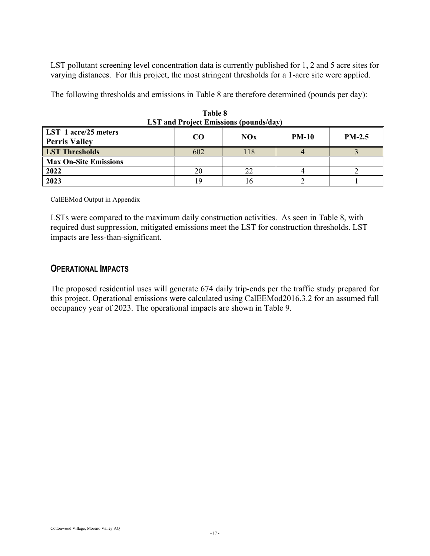LST pollutant screening level concentration data is currently published for 1, 2 and 5 acre sites for varying distances. For this project, the most stringent thresholds for a 1-acre site were applied.

The following thresholds and emissions in Table 8 are therefore determined (pounds per day):

| <b>LST and Project Emissions (pounds/day)</b>       |                 |     |              |          |  |  |
|-----------------------------------------------------|-----------------|-----|--------------|----------|--|--|
| <b>LST</b> 1 acre/25 meters<br><b>Perris Valley</b> | CO <sub>0</sub> | NOx | <b>PM-10</b> | $PM-2.5$ |  |  |
| <b>LST Thresholds</b>                               | 602             | 118 |              |          |  |  |
| <b>Max On-Site Emissions</b>                        |                 |     |              |          |  |  |
| 2022                                                | 20              |     |              |          |  |  |
| 2023                                                | 19              |     |              |          |  |  |

**Table 8**

CalEEMod Output in Appendix

LSTs were compared to the maximum daily construction activities. As seen in Table 8, with required dust suppression, mitigated emissions meet the LST for construction thresholds. LST impacts are less-than-significant.

#### **OPERATIONAL IMPACTS**

The proposed residential uses will generate 674 daily trip-ends per the traffic study prepared for this project. Operational emissions were calculated using CalEEMod2016.3.2 for an assumed full occupancy year of 2023. The operational impacts are shown in Table 9.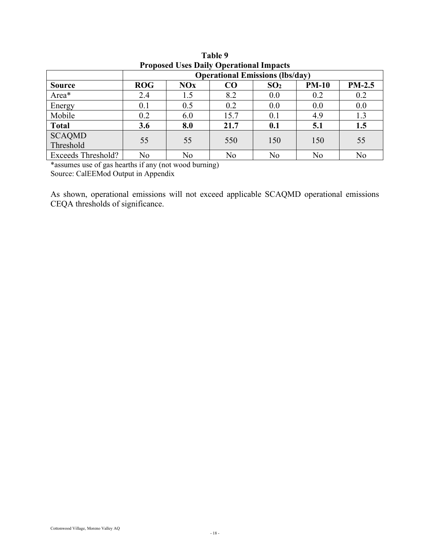|                           | <b>Operational Emissions (lbs/day)</b> |     |      |                 |              |               |
|---------------------------|----------------------------------------|-----|------|-----------------|--------------|---------------|
| <b>Source</b>             | <b>ROG</b>                             | NOx | CO   | SO <sub>2</sub> | <b>PM-10</b> | <b>PM-2.5</b> |
| Area*                     | 2.4                                    | 1.5 | 8.2  | 0.0             | 0.2          | 0.2           |
| Energy                    | 0.1                                    | 0.5 | 0.2  | 0.0             | 0.0          | 0.0           |
| Mobile                    | 0.2                                    | 6.0 | 15.7 | 0.1             | 4.9          | 1.3           |
| <b>Total</b>              | 3.6                                    | 8.0 | 21.7 | 0.1             | 5.1          | 1.5           |
| <b>SCAQMD</b>             | 55                                     | 55  | 550  | 150             | 150          | 55            |
| Threshold                 |                                        |     |      |                 |              |               |
| <b>Exceeds Threshold?</b> | No                                     | No  | No   | No              | No           | No            |

**Table 9 Proposed Uses Daily Operational Impacts**

\*assumes use of gas hearths if any (not wood burning) Source: CalEEMod Output in Appendix

As shown, operational emissions will not exceed applicable SCAQMD operational emissions CEQA thresholds of significance.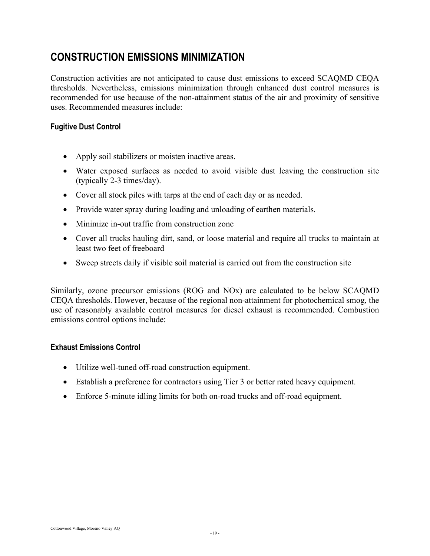# **CONSTRUCTION EMISSIONS MINIMIZATION**

Construction activities are not anticipated to cause dust emissions to exceed SCAQMD CEQA thresholds. Nevertheless, emissions minimization through enhanced dust control measures is recommended for use because of the non-attainment status of the air and proximity of sensitive uses. Recommended measures include:

#### **Fugitive Dust Control**

- Apply soil stabilizers or moisten inactive areas.
- Water exposed surfaces as needed to avoid visible dust leaving the construction site (typically 2-3 times/day).
- Cover all stock piles with tarps at the end of each day or as needed.
- Provide water spray during loading and unloading of earthen materials.
- Minimize in-out traffic from construction zone
- Cover all trucks hauling dirt, sand, or loose material and require all trucks to maintain at least two feet of freeboard
- Sweep streets daily if visible soil material is carried out from the construction site

Similarly, ozone precursor emissions (ROG and NOx) are calculated to be below SCAQMD CEQA thresholds. However, because of the regional non-attainment for photochemical smog, the use of reasonably available control measures for diesel exhaust is recommended. Combustion emissions control options include:

#### **Exhaust Emissions Control**

- Utilize well-tuned off-road construction equipment.
- Establish a preference for contractors using Tier 3 or better rated heavy equipment.
- Enforce 5-minute idling limits for both on-road trucks and off-road equipment.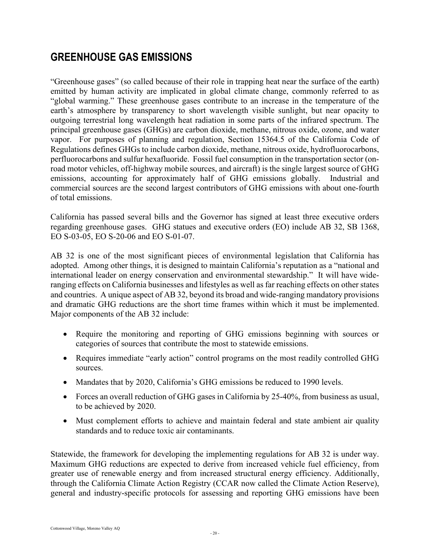# **GREENHOUSE GAS EMISSIONS**

"Greenhouse gases" (so called because of their role in trapping heat near the surface of the earth) emitted by human activity are implicated in global climate change, commonly referred to as "global warming." These greenhouse gases contribute to an increase in the temperature of the earth's atmosphere by transparency to short wavelength visible sunlight, but near opacity to outgoing terrestrial long wavelength heat radiation in some parts of the infrared spectrum. The principal greenhouse gases (GHGs) are carbon dioxide, methane, nitrous oxide, ozone, and water vapor. For purposes of planning and regulation, Section 15364.5 of the California Code of Regulations defines GHGs to include carbon dioxide, methane, nitrous oxide, hydrofluorocarbons, perfluorocarbons and sulfur hexafluoride. Fossil fuel consumption in the transportation sector (onroad motor vehicles, off-highway mobile sources, and aircraft) is the single largest source of GHG emissions, accounting for approximately half of GHG emissions globally. Industrial and commercial sources are the second largest contributors of GHG emissions with about one-fourth of total emissions.

California has passed several bills and the Governor has signed at least three executive orders regarding greenhouse gases. GHG statues and executive orders (EO) include AB 32, SB 1368, EO S-03-05, EO S-20-06 and EO S-01-07.

AB 32 is one of the most significant pieces of environmental legislation that California has adopted. Among other things, it is designed to maintain California's reputation as a "national and international leader on energy conservation and environmental stewardship." It will have wideranging effects on California businesses and lifestyles as well as far reaching effects on other states and countries. A unique aspect of AB 32, beyond its broad and wide-ranging mandatory provisions and dramatic GHG reductions are the short time frames within which it must be implemented. Major components of the AB 32 include:

- Require the monitoring and reporting of GHG emissions beginning with sources or categories of sources that contribute the most to statewide emissions.
- Requires immediate "early action" control programs on the most readily controlled GHG sources.
- Mandates that by 2020, California's GHG emissions be reduced to 1990 levels.
- Forces an overall reduction of GHG gases in California by 25-40%, from business as usual, to be achieved by 2020.
- Must complement efforts to achieve and maintain federal and state ambient air quality standards and to reduce toxic air contaminants.

Statewide, the framework for developing the implementing regulations for AB 32 is under way. Maximum GHG reductions are expected to derive from increased vehicle fuel efficiency, from greater use of renewable energy and from increased structural energy efficiency. Additionally, through the California Climate Action Registry (CCAR now called the Climate Action Reserve), general and industry-specific protocols for assessing and reporting GHG emissions have been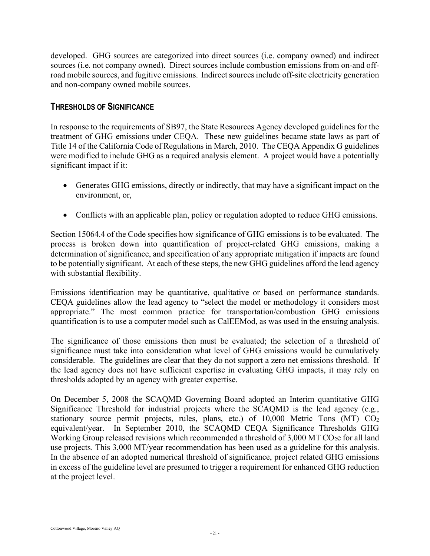developed. GHG sources are categorized into direct sources (i.e. company owned) and indirect sources (i.e. not company owned). Direct sources include combustion emissions from on-and offroad mobile sources, and fugitive emissions. Indirect sources include off-site electricity generation and non-company owned mobile sources.

#### **THRESHOLDS OF SIGNIFICANCE**

In response to the requirements of SB97, the State Resources Agency developed guidelines for the treatment of GHG emissions under CEQA. These new guidelines became state laws as part of Title 14 of the California Code of Regulations in March, 2010. The CEQA Appendix G guidelines were modified to include GHG as a required analysis element. A project would have a potentially significant impact if it:

- Generates GHG emissions, directly or indirectly, that may have a significant impact on the environment, or,
- Conflicts with an applicable plan, policy or regulation adopted to reduce GHG emissions.

Section 15064.4 of the Code specifies how significance of GHG emissions is to be evaluated. The process is broken down into quantification of project-related GHG emissions, making a determination of significance, and specification of any appropriate mitigation if impacts are found to be potentially significant. At each of these steps, the new GHG guidelines afford the lead agency with substantial flexibility.

Emissions identification may be quantitative, qualitative or based on performance standards. CEQA guidelines allow the lead agency to "select the model or methodology it considers most appropriate." The most common practice for transportation/combustion GHG emissions quantification is to use a computer model such as CalEEMod, as was used in the ensuing analysis.

The significance of those emissions then must be evaluated; the selection of a threshold of significance must take into consideration what level of GHG emissions would be cumulatively considerable. The guidelines are clear that they do not support a zero net emissions threshold. If the lead agency does not have sufficient expertise in evaluating GHG impacts, it may rely on thresholds adopted by an agency with greater expertise.

On December 5, 2008 the SCAQMD Governing Board adopted an Interim quantitative GHG Significance Threshold for industrial projects where the SCAQMD is the lead agency (e.g., stationary source permit projects, rules, plans, etc.) of 10,000 Metric Tons  $(MT)$  CO<sub>2</sub> equivalent/year. In September 2010, the SCAQMD CEQA Significance Thresholds GHG Working Group released revisions which recommended a threshold of 3,000 MT CO<sub>2</sub>e for all land use projects. This 3,000 MT/year recommendation has been used as a guideline for this analysis. In the absence of an adopted numerical threshold of significance, project related GHG emissions in excess of the guideline level are presumed to trigger a requirement for enhanced GHG reduction at the project level.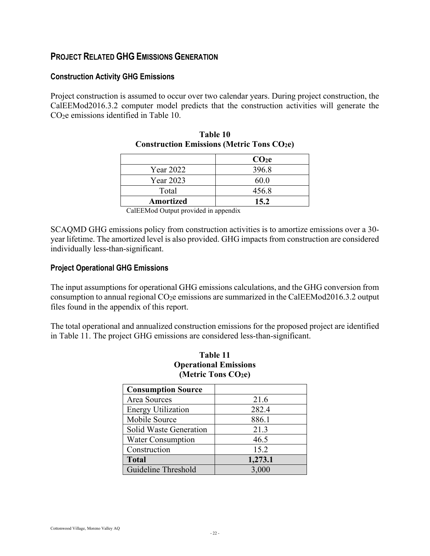#### **PROJECT RELATED GHG EMISSIONS GENERATION**

#### **Construction Activity GHG Emissions**

Project construction is assumed to occur over two calendar years. During project construction, the CalEEMod2016.3.2 computer model predicts that the construction activities will generate the  $CO<sub>2</sub>e$  emissions identified in Table 10.

|           | CO <sub>2</sub> e |
|-----------|-------------------|
| Year 2022 | 396.8             |
| Year 2023 | 60.0              |
| Total     | 456.8             |
| Amortized | 15.2              |

| Table 10                                         |  |  |
|--------------------------------------------------|--|--|
| <b>Construction Emissions (Metric Tons CO2e)</b> |  |  |

CalEEMod Output provided in appendix

SCAQMD GHG emissions policy from construction activities is to amortize emissions over a 30 year lifetime. The amortized level is also provided. GHG impacts from construction are considered individually less-than-significant.

#### **Project Operational GHG Emissions**

The input assumptions for operational GHG emissions calculations, and the GHG conversion from consumption to annual regional CO2e emissions are summarized in the CalEEMod2016.3.2 output files found in the appendix of this report.

The total operational and annualized construction emissions for the proposed project are identified in Table 11. The project GHG emissions are considered less-than-significant.

| 1.1                       |         |  |
|---------------------------|---------|--|
| <b>Consumption Source</b> |         |  |
| Area Sources              | 21.6    |  |
| <b>Energy Utilization</b> | 282.4   |  |
| Mobile Source             | 886.1   |  |
| Solid Waste Generation    | 21.3    |  |
| <b>Water Consumption</b>  | 46.5    |  |
| Construction              | 15.2    |  |
| <b>Total</b>              | 1,273.1 |  |
| Guideline Threshold       | 3,000   |  |

#### **Table 11 Operational Emissions (Metric Tons CO<sub>2</sub>e)**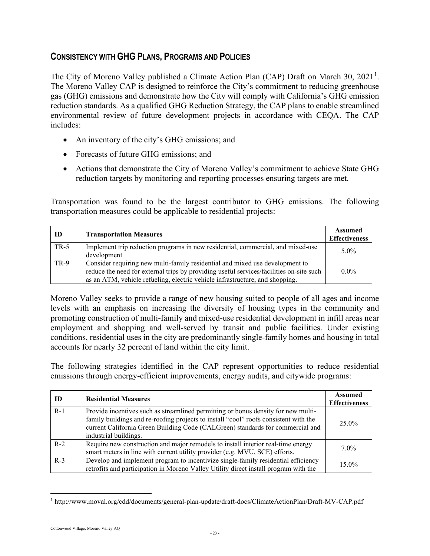### **CONSISTENCY WITH GHG PLANS, PROGRAMS AND POLICIES**

The City of Moreno Valley published a Climate Action Plan (CAP) Draft on March 30, 202[1](#page-23-0)<sup>1</sup>. The Moreno Valley CAP is designed to reinforce the City's commitment to reducing greenhouse gas (GHG) emissions and demonstrate how the City will comply with California's GHG emission reduction standards. As a qualified GHG Reduction Strategy, the CAP plans to enable streamlined environmental review of future development projects in accordance with CEQA. The CAP includes:

- An inventory of the city's GHG emissions; and
- Forecasts of future GHG emissions; and
- Actions that demonstrate the City of Moreno Valley's commitment to achieve State GHG reduction targets by monitoring and reporting processes ensuring targets are met.

Transportation was found to be the largest contributor to GHG emissions. The following transportation measures could be applicable to residential projects:

| ID          | <b>Transportation Measures</b>                                                                                                                                                                                                                          | <b>Assumed</b><br><b>Effectiveness</b> |
|-------------|---------------------------------------------------------------------------------------------------------------------------------------------------------------------------------------------------------------------------------------------------------|----------------------------------------|
| $TR-5$      | Implement trip reduction programs in new residential, commercial, and mixed-use<br>development                                                                                                                                                          | $5.0\%$                                |
| <b>TR-9</b> | Consider requiring new multi-family residential and mixed use development to<br>reduce the need for external trips by providing useful services/facilities on-site such<br>as an ATM, vehicle refueling, electric vehicle infrastructure, and shopping. | $0.0\%$                                |

Moreno Valley seeks to provide a range of new housing suited to people of all ages and income levels with an emphasis on increasing the diversity of housing types in the community and promoting construction of multi-family and mixed-use residential development in infill areas near employment and shopping and well-served by transit and public facilities. Under existing conditions, residential uses in the city are predominantly single-family homes and housing in total accounts for nearly 32 percent of land within the city limit.

The following strategies identified in the CAP represent opportunities to reduce residential emissions through energy-efficient improvements, energy audits, and citywide programs:

| ID    | <b>Residential Measures</b>                                                                                                                                                                                                                                                          | Assumed<br><b>Effectiveness</b> |
|-------|--------------------------------------------------------------------------------------------------------------------------------------------------------------------------------------------------------------------------------------------------------------------------------------|---------------------------------|
| $R-1$ | Provide incentives such as streamlined permitting or bonus density for new multi-<br>family buildings and re-roofing projects to install "cool" roofs consistent with the<br>current California Green Building Code (CALGreen) standards for commercial and<br>industrial buildings. | 25.0%                           |
| $R-2$ | Require new construction and major remodels to install interior real-time energy<br>smart meters in line with current utility provider (e.g. MVU, SCE) efforts.                                                                                                                      | $7.0\%$                         |
| $R-3$ | Develop and implement program to incentivize single-family residential efficiency<br>retrofits and participation in Moreno Valley Utility direct install program with the                                                                                                            | $15.0\%$                        |

<span id="page-23-0"></span><sup>1</sup> http://www.moval.org/cdd/documents/general-plan-update/draft-docs/ClimateActionPlan/Draft-MV-CAP.pdf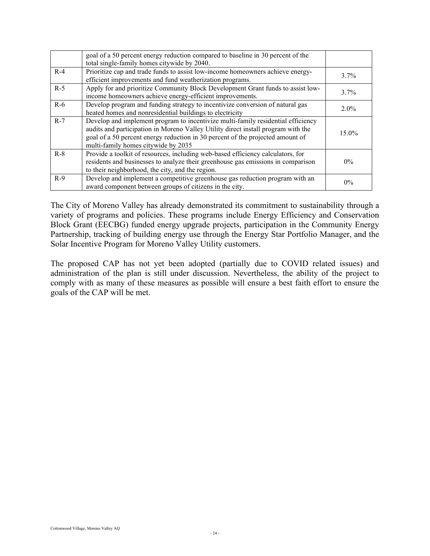|       | goal of a 50 percent energy reduction compared to baseline in 30 percent of the<br>total single-family homes citywide by 2040.                                                                                                                                                                 |         |
|-------|------------------------------------------------------------------------------------------------------------------------------------------------------------------------------------------------------------------------------------------------------------------------------------------------|---------|
| $R-4$ | Prioritize cap and trade funds to assist low-income homeowners achieve energy-<br>efficient improvements and fund weatherization programs.                                                                                                                                                     | 3.7%    |
| $R-5$ | Apply for and prioritize Community Block Development Grant funds to assist low-<br>income homeowners achieve energy-efficient improvements.                                                                                                                                                    | $3.7\%$ |
| $R-6$ | Develop program and funding strategy to incentivize conversion of natural gas<br>heated homes and nonresidential buildings to electricity                                                                                                                                                      | $2.0\%$ |
| $R-7$ | Develop and implement program to incentivize multi-family residential efficiency<br>audits and participation in Moreno Valley Utility direct install program with the<br>goal of a 50 percent energy reduction in 30 percent of the projected amount of<br>multi-family homes citywide by 2035 | 15.0%   |
| $R-8$ | Provide a toolkit of resources, including web-based efficiency calculators, for<br>residents and businesses to analyze their greenhouse gas emissions in comparison<br>to their neighborhood, the city, and the region.                                                                        | $0\%$   |
| $R-9$ | Develop and implement a competitive greenhouse gas reduction program with an<br>award component between groups of citizens in the city.                                                                                                                                                        | $0\%$   |

The City of Moreno Valley has already demonstrated its commitment to sustainability through a variety of programs and policies. These programs include Energy Efficiency and Conservation Block Grant (EECBG) funded energy upgrade projects, participation in the Community Energy Partnership, tracking of building energy use through the Energy Star Portfolio Manager, and the Solar Incentive Program for Moreno Valley Utility customers.

The proposed CAP has not yet been adopted (partially due to COVID related issues) and administration of the plan is still under discussion. Nevertheless, the ability of the project to comply with as many of these measures as possible will ensure a best faith effort to ensure the goals of the CAP will be met.